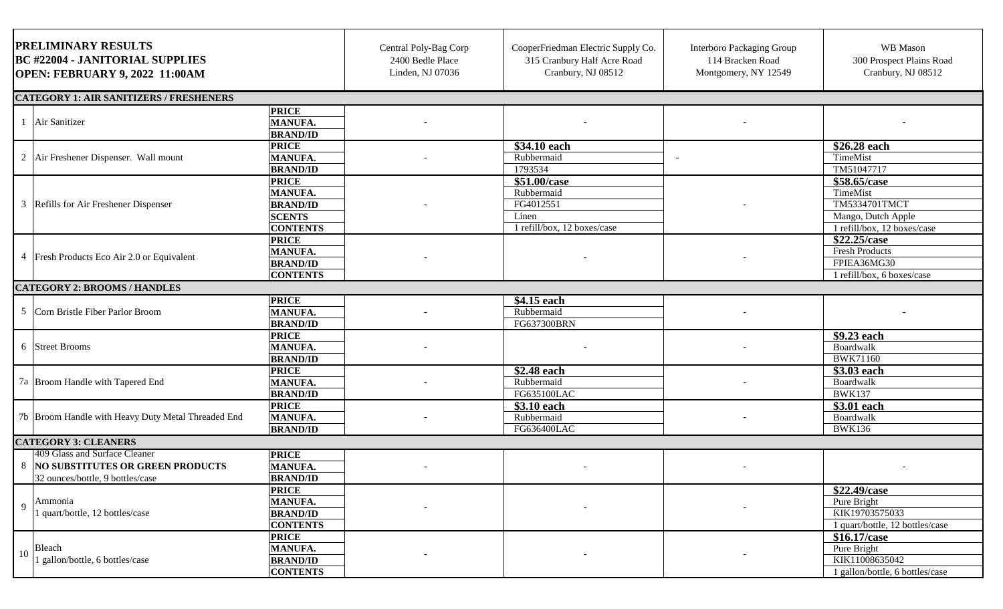| PRELIMINARY RESULTS<br><b>BC #22004 - JANITORIAL SUPPLIES</b><br>OPEN: FEBRUARY 9, 2022 11:00AM         |                                                                                       | Central Poly-Bag Corp<br>2400 Bedle Place<br>Linden, NJ 07036 | CooperFriedman Electric Supply Co.<br>315 Cranbury Half Acre Road<br>Cranbury, NJ 08512 | <b>Interboro Packaging Group</b><br>114 Bracken Road<br>Montgomery, NY 12549 | WB Mason<br>300 Prospect Plains Road<br>Cranbury, NJ 08512                                            |
|---------------------------------------------------------------------------------------------------------|---------------------------------------------------------------------------------------|---------------------------------------------------------------|-----------------------------------------------------------------------------------------|------------------------------------------------------------------------------|-------------------------------------------------------------------------------------------------------|
| <b>CATEGORY 1: AIR SANITIZERS / FRESHENERS</b>                                                          |                                                                                       |                                                               |                                                                                         |                                                                              |                                                                                                       |
| Air Sanitizer                                                                                           | <b>PRICE</b><br><b>MANUFA.</b><br><b>BRAND/ID</b>                                     |                                                               |                                                                                         |                                                                              |                                                                                                       |
| $\overline{2}$<br>Air Freshener Dispenser. Wall mount                                                   | <b>PRICE</b><br><b>MANUFA.</b><br><b>BRAND/ID</b>                                     |                                                               | \$34.10 each<br>Rubbermaid<br>1793534                                                   |                                                                              | \$26.28 each<br>TimeMist<br>TM51047717                                                                |
| Refills for Air Freshener Dispenser<br>3                                                                | <b>PRICE</b><br><b>MANUFA.</b><br><b>BRAND/ID</b><br><b>SCENTS</b><br><b>CONTENTS</b> |                                                               | \$51.00/case<br>Rubbermaid<br>FG4012551<br>Linen<br>1 refill/box, 12 boxes/case         |                                                                              | \$58.65/case<br>TimeMist<br><b>TM5334701TMCT</b><br>Mango, Dutch Apple<br>1 refill/box, 12 boxes/case |
| Fresh Products Eco Air 2.0 or Equivalent<br>4                                                           | <b>PRICE</b><br><b>MANUFA.</b><br><b>BRAND/ID</b><br><b>CONTENTS</b>                  |                                                               |                                                                                         |                                                                              | \$22.25/case<br><b>Fresh Products</b><br>FPIEA36MG30<br>1 refill/box, 6 boxes/case                    |
| <b>CATEGORY 2: BROOMS / HANDLES</b>                                                                     |                                                                                       |                                                               |                                                                                         |                                                                              |                                                                                                       |
| 5<br>Corn Bristle Fiber Parlor Broom                                                                    | <b>PRICE</b><br><b>MANUFA.</b><br><b>BRAND/ID</b>                                     |                                                               | \$4.15 each<br>Rubbermaid<br>FG637300BRN                                                |                                                                              |                                                                                                       |
| 6 Street Brooms                                                                                         | <b>PRICE</b><br><b>MANUFA.</b><br><b>BRAND/ID</b>                                     |                                                               |                                                                                         |                                                                              | \$9.23 each<br>Boardwalk<br><b>BWK71160</b>                                                           |
| 7a Broom Handle with Tapered End                                                                        | <b>PRICE</b><br><b>MANUFA.</b><br><b>BRAND/ID</b>                                     |                                                               | \$2.48 each<br>Rubbermaid<br>FG635100LAC                                                |                                                                              | \$3.03 each<br>Boardwalk<br><b>BWK137</b>                                                             |
| 7b Broom Handle with Heavy Duty Metal Threaded End                                                      | <b>PRICE</b><br><b>MANUFA.</b><br><b>BRAND/ID</b>                                     |                                                               | \$3.10 each<br>Rubbermaid<br>FG636400LAC                                                |                                                                              | \$3.01 each<br>Boardwalk<br><b>BWK136</b>                                                             |
| <b>CATEGORY 3: CLEANERS</b>                                                                             |                                                                                       |                                                               |                                                                                         |                                                                              |                                                                                                       |
| 409 Glass and Surface Cleaner<br>8 NO SUBSTITUTES OR GREEN PRODUCTS<br>32 ounces/bottle, 9 bottles/case | <b>PRICE</b><br>MANUFA.<br><b>BRAND/ID</b>                                            |                                                               |                                                                                         |                                                                              |                                                                                                       |
| Ammonia<br>9<br>1 quart/bottle, 12 bottles/case                                                         | <b>PRICE</b><br><b>MANUFA.</b><br><b>BRAND/ID</b><br><b>CONTENTS</b>                  |                                                               |                                                                                         |                                                                              | \$22.49/case<br>Pure Bright<br>KIK19703575033<br>1 quart/bottle, 12 bottles/case                      |
| Bleach<br>10<br>1 gallon/bottle, 6 bottles/case                                                         | <b>PRICE</b><br><b>MANUFA.</b><br><b>BRAND/ID</b><br><b>CONTENTS</b>                  |                                                               |                                                                                         |                                                                              | \$16.17/case<br>Pure Bright<br>KIK11008635042<br>1 gallon/bottle, 6 bottles/case                      |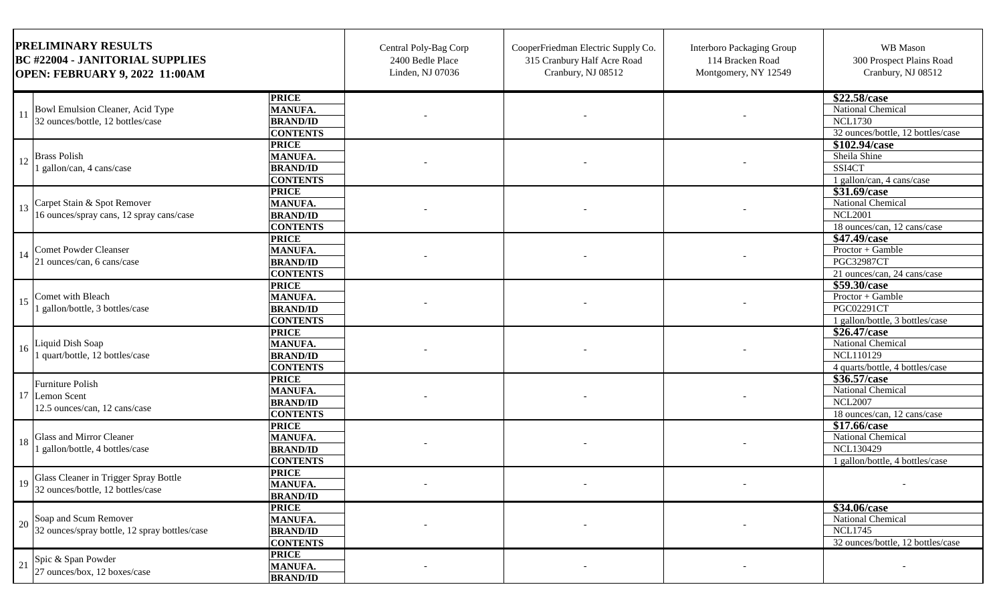| <b>PRELIMINARY RESULTS</b><br><b>BC #22004 - JANITORIAL SUPPLIES</b><br><b>OPEN: FEBRUARY 9, 2022 11:00AM</b> |                            | Central Poly-Bag Corp<br>2400 Bedle Place<br>Linden, NJ 07036 | CooperFriedman Electric Supply Co.<br>315 Cranbury Half Acre Road<br>Cranbury, NJ 08512 | <b>Interboro Packaging Group</b><br>114 Bracken Road<br>Montgomery, NY 12549 | WB Mason<br>300 Prospect Plains Road<br>Cranbury, NJ 08512 |
|---------------------------------------------------------------------------------------------------------------|----------------------------|---------------------------------------------------------------|-----------------------------------------------------------------------------------------|------------------------------------------------------------------------------|------------------------------------------------------------|
| <b>PRICE</b>                                                                                                  |                            |                                                               |                                                                                         |                                                                              | \$22.58/case                                               |
| Bowl Emulsion Cleaner, Acid Type                                                                              | MANUFA.                    |                                                               |                                                                                         |                                                                              | National Chemical                                          |
| 32 ounces/bottle, 12 bottles/case                                                                             | <b>BRAND/ID</b>            |                                                               |                                                                                         |                                                                              | <b>NCL1730</b>                                             |
|                                                                                                               | <b>CONTENTS</b>            |                                                               |                                                                                         |                                                                              | 32 ounces/bottle, 12 bottles/case                          |
| <b>PRICE</b>                                                                                                  |                            |                                                               |                                                                                         |                                                                              | \$102.94/case                                              |
| <b>Brass Polish</b><br>12                                                                                     | MANUFA.                    |                                                               |                                                                                         |                                                                              | Sheila Shine                                               |
| gallon/can, 4 cans/case                                                                                       | <b>BRAND/ID</b>            |                                                               |                                                                                         |                                                                              | SSI4CT                                                     |
|                                                                                                               | <b>CONTENTS</b>            |                                                               |                                                                                         |                                                                              | 1 gallon/can, 4 cans/case                                  |
| <b>PRICE</b>                                                                                                  |                            |                                                               |                                                                                         |                                                                              | \$31.69/case                                               |
| Carpet Stain & Spot Remover<br>13                                                                             | <b>MANUFA.</b>             |                                                               |                                                                                         |                                                                              | <b>National Chemical</b>                                   |
| 16 ounces/spray cans, 12 spray cans/case                                                                      | <b>BRAND/ID</b>            |                                                               |                                                                                         |                                                                              | <b>NCL2001</b>                                             |
|                                                                                                               | <b>CONTENTS</b>            |                                                               |                                                                                         |                                                                              | 18 ounces/can, 12 cans/case                                |
| <b>PRICE</b>                                                                                                  |                            |                                                               |                                                                                         |                                                                              | \$47.49/case                                               |
| <b>Comet Powder Cleanser</b>                                                                                  | <b>MANUFA.</b>             |                                                               |                                                                                         |                                                                              | Proctor + Gamble                                           |
| 21 ounces/can, 6 cans/case                                                                                    | <b>BRAND/ID</b>            |                                                               |                                                                                         |                                                                              | <b>PGC32987CT</b>                                          |
|                                                                                                               | <b>CONTENTS</b>            |                                                               |                                                                                         |                                                                              | 21 ounces/can, 24 cans/case<br>\$59.30/case                |
| <b>PRICE</b><br>Comet with Bleach                                                                             |                            |                                                               |                                                                                         |                                                                              | $Proctor + Gamble$                                         |
| 15<br>gallon/bottle, 3 bottles/case                                                                           | MANUFA.<br><b>BRAND/ID</b> |                                                               |                                                                                         |                                                                              | PGC02291CT                                                 |
|                                                                                                               | <b>CONTENTS</b>            |                                                               |                                                                                         |                                                                              | 1 gallon/bottle, 3 bottles/case                            |
| <b>PRICE</b>                                                                                                  |                            |                                                               |                                                                                         |                                                                              | \$26.47/case                                               |
| Liquid Dish Soap                                                                                              | <b>MANUFA.</b>             |                                                               |                                                                                         |                                                                              | National Chemical                                          |
| 16<br>quart/bottle, 12 bottles/case                                                                           | <b>BRAND/ID</b>            |                                                               |                                                                                         |                                                                              | <b>NCL110129</b>                                           |
|                                                                                                               | <b>CONTENTS</b>            |                                                               |                                                                                         |                                                                              | 4 quarts/bottle, 4 bottles/case                            |
| <b>PRICE</b>                                                                                                  |                            |                                                               |                                                                                         |                                                                              | \$36.57/case                                               |
| <b>Furniture Polish</b>                                                                                       | MANUFA.                    |                                                               |                                                                                         |                                                                              | National Chemical                                          |
| 17 Lemon Scent                                                                                                | <b>BRAND/ID</b>            |                                                               |                                                                                         |                                                                              | <b>NCL2007</b>                                             |
| 12.5 ounces/can, 12 cans/case                                                                                 | <b>CONTENTS</b>            |                                                               |                                                                                         |                                                                              | 18 ounces/can, 12 cans/case                                |
| <b>PRICE</b>                                                                                                  |                            |                                                               |                                                                                         |                                                                              | \$17.66/case                                               |
| Glass and Mirror Cleaner                                                                                      | MANUFA.                    |                                                               |                                                                                         |                                                                              | National Chemical                                          |
| 18<br>1 gallon/bottle, 4 bottles/case                                                                         | <b>BRAND/ID</b>            |                                                               |                                                                                         |                                                                              | <b>NCL130429</b>                                           |
|                                                                                                               | <b>CONTENTS</b>            |                                                               |                                                                                         |                                                                              | 1 gallon/bottle, 4 bottles/case                            |
| <b>PRICE</b>                                                                                                  |                            |                                                               |                                                                                         |                                                                              |                                                            |
| Glass Cleaner in Trigger Spray Bottle<br>19                                                                   | <b>MANUFA.</b>             |                                                               |                                                                                         |                                                                              |                                                            |
| 32 ounces/bottle, 12 bottles/case                                                                             | <b>BRAND/ID</b>            |                                                               |                                                                                         |                                                                              |                                                            |
| <b>PRICE</b>                                                                                                  |                            |                                                               |                                                                                         |                                                                              | \$34.06/case                                               |
| Soap and Scum Remover                                                                                         | <b>MANUFA.</b>             |                                                               |                                                                                         |                                                                              | National Chemical                                          |
| 20<br>32 ounces/spray bottle, 12 spray bottles/case                                                           | <b>BRAND/ID</b>            |                                                               |                                                                                         |                                                                              | <b>NCL1745</b>                                             |
|                                                                                                               | <b>CONTENTS</b>            |                                                               |                                                                                         |                                                                              | 32 ounces/bottle, 12 bottles/case                          |
| <b>PRICE</b>                                                                                                  |                            |                                                               |                                                                                         |                                                                              |                                                            |
| Spic & Span Powder<br>$\sqrt{21}$                                                                             | <b>MANUFA.</b>             |                                                               |                                                                                         |                                                                              |                                                            |
| 27 ounces/box, 12 boxes/case                                                                                  | <b>BRAND/ID</b>            |                                                               |                                                                                         |                                                                              |                                                            |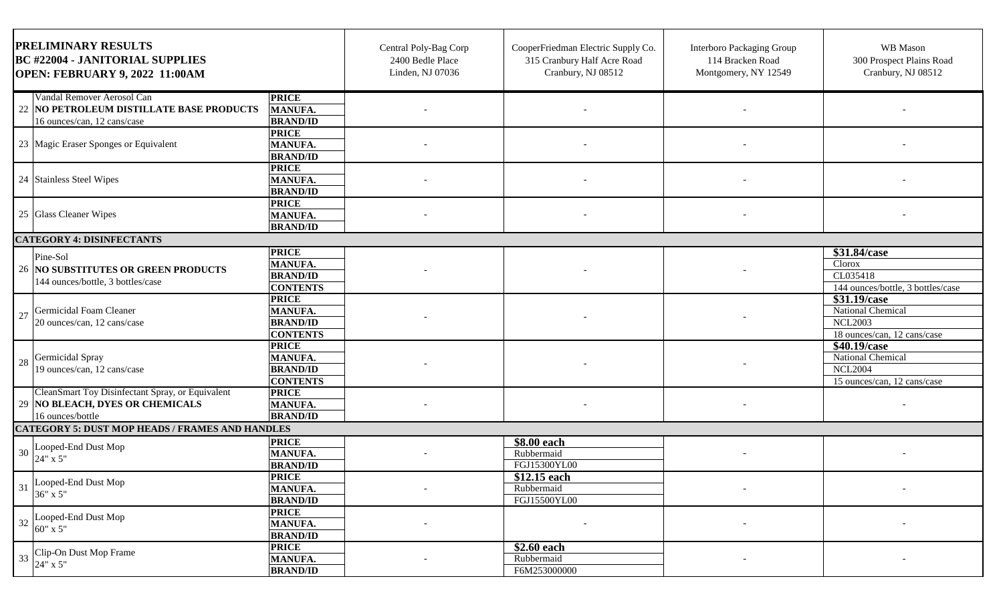| PRELIMINARY RESULTS<br><b>BC #22004 - JANITORIAL SUPPLIES</b><br>OPEN: FEBRUARY 9, 2022 11:00AM         |                                                                      | Central Poly-Bag Corp<br>2400 Bedle Place<br>Linden, NJ 07036 | CooperFriedman Electric Supply Co.<br>315 Cranbury Half Acre Road<br>Cranbury, NJ 08512 | Interboro Packaging Group<br>114 Bracken Road<br>Montgomery, NY 12549 | WB Mason<br>300 Prospect Plains Road<br>Cranbury, NJ 08512                         |
|---------------------------------------------------------------------------------------------------------|----------------------------------------------------------------------|---------------------------------------------------------------|-----------------------------------------------------------------------------------------|-----------------------------------------------------------------------|------------------------------------------------------------------------------------|
| Vandal Remover Aerosol Can<br>22 NO PETROLEUM DISTILLATE BASE PRODUCTS<br>16 ounces/can, 12 cans/case   | <b>PRICE</b><br><b>MANUFA.</b><br><b>BRAND/ID</b>                    |                                                               |                                                                                         |                                                                       |                                                                                    |
| 23 Magic Eraser Sponges or Equivalent                                                                   | <b>PRICE</b><br><b>MANUFA.</b><br><b>BRAND/ID</b>                    |                                                               |                                                                                         |                                                                       |                                                                                    |
| 24 Stainless Steel Wipes                                                                                | <b>PRICE</b><br><b>MANUFA.</b><br><b>BRAND/ID</b>                    |                                                               |                                                                                         |                                                                       |                                                                                    |
| 25 Glass Cleaner Wipes                                                                                  | <b>PRICE</b><br><b>MANUFA.</b><br><b>BRAND/ID</b>                    |                                                               |                                                                                         |                                                                       |                                                                                    |
| <b>CATEGORY 4: DISINFECTANTS</b>                                                                        |                                                                      |                                                               |                                                                                         |                                                                       |                                                                                    |
| Pine-Sol<br>26 NO SUBSTITUTES OR GREEN PRODUCTS<br>144 ounces/bottle, 3 bottles/case                    | <b>PRICE</b><br><b>MANUFA.</b><br><b>BRAND/ID</b><br><b>CONTENTS</b> |                                                               |                                                                                         |                                                                       | \$31.84/case<br>Clorox<br>CL035418<br>144 ounces/bottle, 3 bottles/case            |
| Germicidal Foam Cleaner<br>27<br>20 ounces/can, 12 cans/case                                            | <b>PRICE</b><br>MANUFA.<br><b>BRAND/ID</b><br><b>CONTENTS</b>        |                                                               |                                                                                         |                                                                       | \$31.19/case<br>National Chemical<br><b>NCL2003</b><br>18 ounces/can, 12 cans/case |
| Germicidal Spray<br>28<br>19 ounces/can, 12 cans/case                                                   | <b>PRICE</b><br><b>MANUFA.</b><br><b>BRAND/ID</b><br><b>CONTENTS</b> |                                                               |                                                                                         |                                                                       | \$40.19/case<br>National Chemical<br><b>NCL2004</b><br>15 ounces/can, 12 cans/case |
| CleanSmart Toy Disinfectant Spray, or Equivalent<br>29 NO BLEACH, DYES OR CHEMICALS<br>16 ounces/bottle | <b>PRICE</b><br><b>MANUFA.</b><br><b>BRAND/ID</b>                    |                                                               |                                                                                         |                                                                       |                                                                                    |
| <b>CATEGORY 5: DUST MOP HEADS / FRAMES AND HANDLES</b>                                                  |                                                                      |                                                               |                                                                                         |                                                                       |                                                                                    |
| Looped-End Dust Mop<br>30<br>24" x 5"                                                                   | <b>PRICE</b><br><b>MANUFA.</b><br><b>BRAND/ID</b>                    |                                                               | $$8.00$ each<br>Rubbermaid<br>FGJ15300YL00                                              |                                                                       |                                                                                    |
| Looped-End Dust Mop<br>31<br>36" x 5"                                                                   | <b>PRICE</b><br><b>MANUFA.</b><br><b>BRAND/ID</b>                    |                                                               | \$12.15 each<br>Rubbermaid<br>FGJ15500YL00                                              |                                                                       |                                                                                    |
| Looped-End Dust Mop<br>32<br>$60"$ x 5"                                                                 | <b>PRICE</b><br><b>MANUFA.</b><br><b>BRAND/ID</b>                    |                                                               |                                                                                         |                                                                       |                                                                                    |
| Clip-On Dust Mop Frame<br>24" x 5"<br>33                                                                | <b>PRICE</b><br><b>MANUFA.</b><br><b>BRAND/ID</b>                    |                                                               | \$2.60 each<br>Rubbermaid<br>F6M253000000                                               |                                                                       |                                                                                    |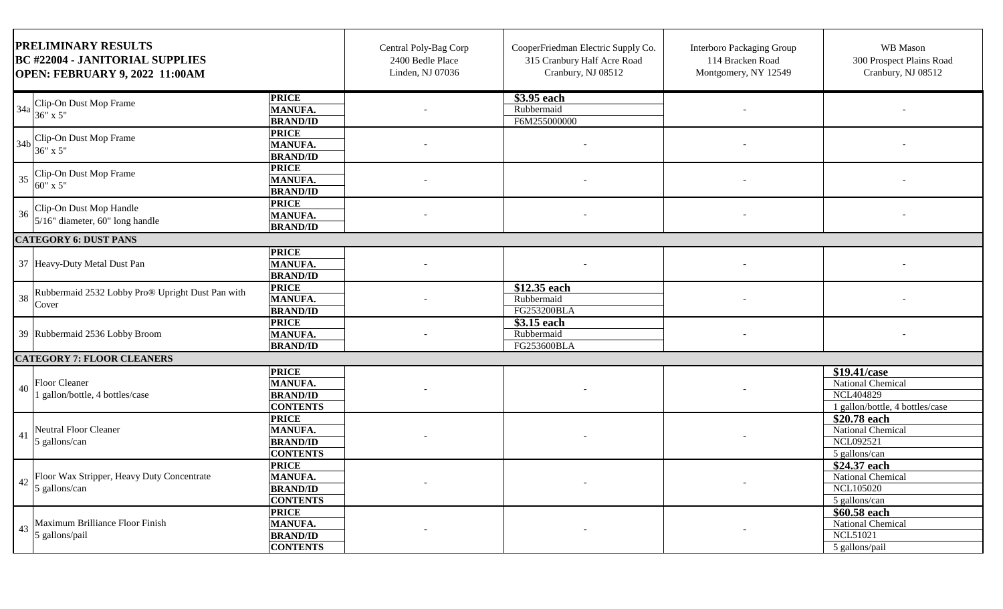| <b>PRELIMINARY RESULTS</b><br><b>BC #22004 - JANITORIAL SUPPLIES</b><br>OPEN: FEBRUARY 9, 2022 11:00AM |                                                                      | Central Poly-Bag Corp<br>2400 Bedle Place<br>Linden, NJ 07036 | CooperFriedman Electric Supply Co.<br>315 Cranbury Half Acre Road<br>Cranbury, NJ 08512 | Interboro Packaging Group<br>114 Bracken Road<br>Montgomery, NY 12549 | WB Mason<br>300 Prospect Plains Road<br>Cranbury, NJ 08512                        |
|--------------------------------------------------------------------------------------------------------|----------------------------------------------------------------------|---------------------------------------------------------------|-----------------------------------------------------------------------------------------|-----------------------------------------------------------------------|-----------------------------------------------------------------------------------|
| Clip-On Dust Mop Frame<br>34a<br>36" x 5"                                                              | <b>PRICE</b><br><b>MANUFA.</b><br><b>BRAND/ID</b>                    |                                                               | \$3.95 each<br>Rubbermaid<br>F6M255000000                                               |                                                                       |                                                                                   |
| Clip-On Dust Mop Frame<br>34b<br>36" x 5"                                                              | <b>PRICE</b><br><b>MANUFA.</b><br><b>BRAND/ID</b>                    |                                                               |                                                                                         |                                                                       |                                                                                   |
| Clip-On Dust Mop Frame<br>35<br>60" x 5"                                                               | <b>PRICE</b><br><b>MANUFA.</b><br><b>BRAND/ID</b>                    |                                                               |                                                                                         |                                                                       |                                                                                   |
| Clip-On Dust Mop Handle<br>36<br>5/16" diameter, 60" long handle                                       | <b>PRICE</b><br><b>MANUFA.</b><br><b>BRAND/ID</b>                    |                                                               |                                                                                         |                                                                       |                                                                                   |
| <b>CATEGORY 6: DUST PANS</b>                                                                           |                                                                      |                                                               |                                                                                         |                                                                       |                                                                                   |
| 37 Heavy-Duty Metal Dust Pan                                                                           | <b>PRICE</b><br><b>MANUFA.</b><br><b>BRAND/ID</b>                    |                                                               |                                                                                         |                                                                       |                                                                                   |
| Rubbermaid 2532 Lobby Pro® Upright Dust Pan with<br>38<br>Cover                                        | <b>PRICE</b><br><b>MANUFA.</b><br><b>BRAND/ID</b>                    |                                                               | \$12.35 each<br>Rubbermaid<br>FG253200BLA                                               |                                                                       |                                                                                   |
| 39 Rubbermaid 2536 Lobby Broom                                                                         | <b>PRICE</b><br><b>MANUFA.</b><br><b>BRAND/ID</b>                    |                                                               | \$3.15 each<br>Rubbermaid<br>FG253600BLA                                                |                                                                       |                                                                                   |
| <b>CATEGORY 7: FLOOR CLEANERS</b>                                                                      |                                                                      |                                                               |                                                                                         |                                                                       |                                                                                   |
| <b>Floor Cleaner</b><br>40<br>gallon/bottle, 4 bottles/case                                            | <b>PRICE</b><br><b>MANUFA.</b><br><b>BRAND/ID</b><br><b>CONTENTS</b> |                                                               |                                                                                         |                                                                       | \$19.41/case<br>National Chemical<br>NCL404829<br>1 gallon/bottle, 4 bottles/case |
| Neutral Floor Cleaner<br>41<br>5 gallons/can                                                           | <b>PRICE</b><br>MANUFA.<br><b>BRAND/ID</b><br><b>CONTENTS</b>        |                                                               |                                                                                         |                                                                       | \$20.78 each<br><b>National Chemical</b><br><b>NCL092521</b><br>5 gallons/can     |
| Floor Wax Stripper, Heavy Duty Concentrate<br>42<br>5 gallons/can                                      | <b>PRICE</b><br><b>MANUFA.</b><br><b>BRAND/ID</b><br><b>CONTENTS</b> |                                                               | $\sim$                                                                                  |                                                                       | \$24.37 each<br>National Chemical<br><b>NCL105020</b><br>5 gallons/can            |
| Maximum Brilliance Floor Finish<br>43<br>5 gallons/pail                                                | <b>PRICE</b><br><b>MANUFA.</b><br><b>BRAND/ID</b><br><b>CONTENTS</b> |                                                               |                                                                                         |                                                                       | \$60.58 each<br>National Chemical<br><b>NCL51021</b><br>5 gallons/pail            |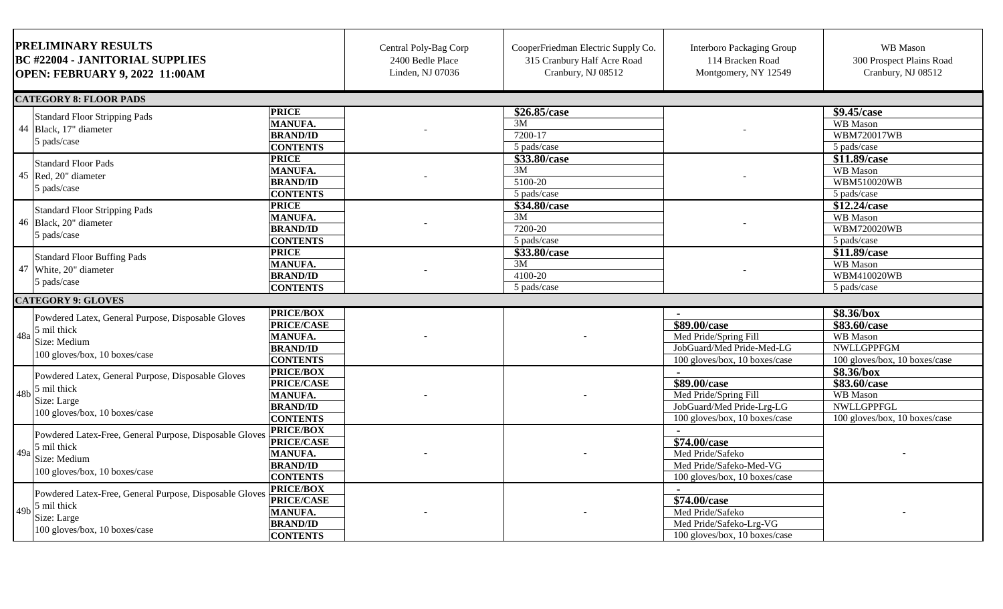| <b>PRELIMINARY RESULTS</b><br><b>BC #22004 - JANITORIAL SUPPLIES</b><br><b>OPEN: FEBRUARY 9, 2022 11:00AM</b>                            |                                                                                               | Central Poly-Bag Corp<br>2400 Bedle Place<br>Linden, NJ 07036 | CooperFriedman Electric Supply Co.<br>315 Cranbury Half Acre Road<br>Cranbury, NJ 08512 | <b>Interboro Packaging Group</b><br>114 Bracken Road<br>Montgomery, NY 12549                                          | WB Mason<br>300 Prospect Plains Road<br>Cranbury, NJ 08512                                   |
|------------------------------------------------------------------------------------------------------------------------------------------|-----------------------------------------------------------------------------------------------|---------------------------------------------------------------|-----------------------------------------------------------------------------------------|-----------------------------------------------------------------------------------------------------------------------|----------------------------------------------------------------------------------------------|
| <b>CATEGORY 8: FLOOR PADS</b>                                                                                                            |                                                                                               |                                                               |                                                                                         |                                                                                                                       |                                                                                              |
| <b>Standard Floor Stripping Pads</b><br>44 Black, 17" diameter<br>5 pads/case                                                            | <b>PRICE</b><br><b>MANUFA.</b><br><b>BRAND/ID</b><br><b>CONTENTS</b>                          |                                                               | \$26.85/case<br>3M<br>7200-17<br>5 pads/case                                            |                                                                                                                       | \$9.45/case<br><b>WB</b> Mason<br><b>WBM720017WB</b><br>5 pads/case                          |
| <b>Standard Floor Pads</b><br>45 Red, 20" diameter<br>5 pads/case                                                                        | <b>PRICE</b><br><b>MANUFA.</b><br><b>BRAND/ID</b><br><b>CONTENTS</b>                          |                                                               | \$33.80/case<br>3M<br>5100-20<br>5 pads/case                                            |                                                                                                                       | \$11.89/case<br>WB Mason<br>WBM510020WB<br>5 pads/case                                       |
| <b>Standard Floor Stripping Pads</b><br>46 Black, 20" diameter<br>5 pads/case                                                            | <b>PRICE</b><br><b>MANUFA.</b><br><b>BRAND/ID</b><br><b>CONTENTS</b>                          |                                                               | \$34.80/case<br>3M<br>7200-20<br>5 pads/case                                            |                                                                                                                       | \$12.24/case<br>WB Mason<br><b>WBM720020WB</b><br>5 pads/case                                |
| <b>Standard Floor Buffing Pads</b><br>47 White, 20" diameter<br>5 pads/case                                                              | <b>PRICE</b><br><b>MANUFA.</b><br><b>BRAND/ID</b><br><b>CONTENTS</b>                          |                                                               | \$33.80/case<br>3M<br>4100-20<br>5 pads/case                                            |                                                                                                                       | \$11.89/case<br>WB Mason<br>WBM410020WB<br>5 pads/case                                       |
| <b>CATEGORY 9: GLOVES</b>                                                                                                                |                                                                                               |                                                               |                                                                                         |                                                                                                                       |                                                                                              |
| Powdered Latex, General Purpose, Disposable Gloves<br>5 mil thick<br>48a<br>Size: Medium<br>100 gloves/box, 10 boxes/case                | <b>PRICE/BOX</b><br><b>PRICE/CASE</b><br>MANUFA.<br><b>BRAND/ID</b><br><b>CONTENTS</b>        |                                                               |                                                                                         | \$89.00/case<br>Med Pride/Spring Fill<br>JobGuard/Med Pride-Med-LG<br>100 gloves/box, 10 boxes/case                   | \$8.36/box<br>\$83.60/case<br>WB Mason<br><b>NWLLGPPFGM</b><br>100 gloves/box, 10 boxes/case |
| Powdered Latex, General Purpose, Disposable Gloves<br>5 mil thick<br>48 <sub>b</sub><br>Size: Large<br>100 gloves/box, 10 boxes/case     | <b>PRICE/BOX</b><br><b>PRICE/CASE</b><br><b>MANUFA.</b><br><b>BRAND/ID</b><br><b>CONTENTS</b> |                                                               |                                                                                         | $\blacksquare$<br>\$89.00/case<br>Med Pride/Spring Fill<br>JobGuard/Med Pride-Lrg-LG<br>100 gloves/box, 10 boxes/case | \$8.36/box<br>\$83.60/case<br>WB Mason<br>NWLLGPPFGL<br>100 gloves/box, 10 boxes/case        |
| Powdered Latex-Free, General Purpose, Disposable Gloves<br>5 mil thick<br>49a<br>Size: Medium<br>100 gloves/box, 10 boxes/case           | <b>PRICE/BOX</b><br><b>PRICE/CASE</b><br><b>MANUFA.</b><br><b>BRAND/ID</b><br><b>CONTENTS</b> |                                                               |                                                                                         | \$74.00/case<br>Med Pride/Safeko<br>Med Pride/Safeko-Med-VG<br>100 gloves/box, 10 boxes/case                          |                                                                                              |
| Powdered Latex-Free, General Purpose, Disposable Glove<br>5 mil thick<br>49 <sub>b</sub><br>Size: Large<br>100 gloves/box, 10 boxes/case | <b>PRICE/BOX</b><br><b>PRICE/CASE</b><br><b>MANUFA.</b><br><b>BRAND/ID</b><br><b>CONTENTS</b> |                                                               |                                                                                         | \$74.00/case<br>Med Pride/Safeko<br>Med Pride/Safeko-Lrg-VG<br>100 gloves/box, 10 boxes/case                          |                                                                                              |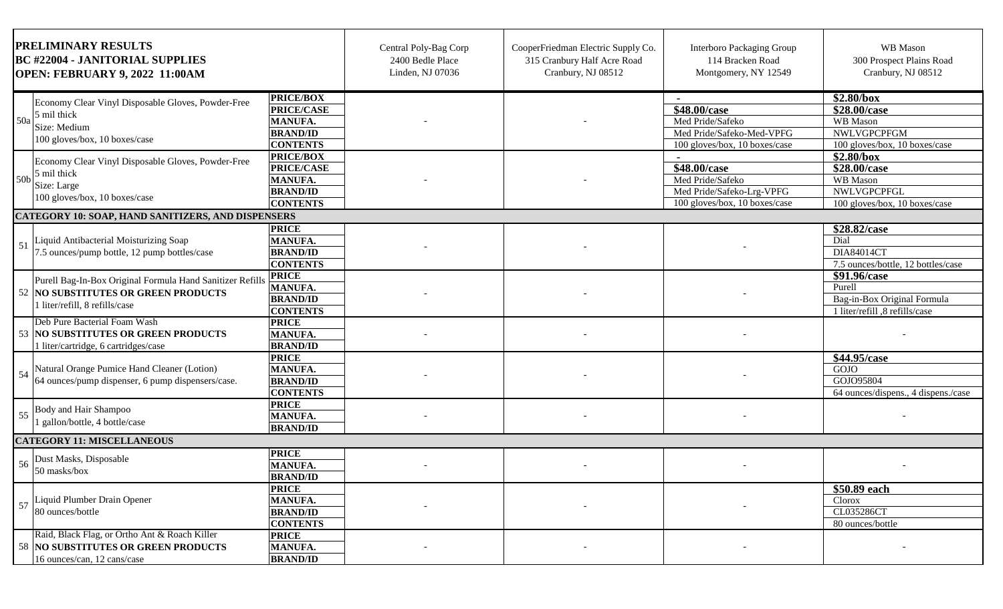| <b>PRELIMINARY RESULTS</b><br><b>BC #22004 - JANITORIAL SUPPLIES</b><br><b>OPEN: FEBRUARY 9, 2022 11:00AM</b> |                                                                                                                                     | Central Poly-Bag Corp<br>2400 Bedle Place<br>Linden, NJ 07036                                 | CooperFriedman Electric Supply Co.<br>315 Cranbury Half Acre Road<br>Cranbury, NJ 08512 | <b>Interboro Packaging Group</b><br>114 Bracken Road<br>Montgomery, NY 12549 | WB Mason<br>300 Prospect Plains Road<br>Cranbury, NJ 08512                                     |                                                                                         |
|---------------------------------------------------------------------------------------------------------------|-------------------------------------------------------------------------------------------------------------------------------------|-----------------------------------------------------------------------------------------------|-----------------------------------------------------------------------------------------|------------------------------------------------------------------------------|------------------------------------------------------------------------------------------------|-----------------------------------------------------------------------------------------|
| 50a                                                                                                           | Economy Clear Vinyl Disposable Gloves, Powder-Free<br>5 mil thick<br>Size: Medium<br>100 gloves/box, 10 boxes/case                  | <b>PRICE/BOX</b><br><b>PRICE/CASE</b><br><b>MANUFA.</b><br><b>BRAND/ID</b><br><b>CONTENTS</b> |                                                                                         |                                                                              | \$48.00/case<br>Med Pride/Safeko<br>Med Pride/Safeko-Med-VPFG<br>100 gloves/box, 10 boxes/case | \$2.80/box<br>\$28.00/case<br>WB Mason<br>NWLVGPCPFGM<br>100 gloves/box, 10 boxes/case  |
|                                                                                                               | Economy Clear Vinyl Disposable Gloves, Powder-Free<br>$50b$ $\frac{5}{3}$ mil thick<br>Size: Large<br>100 gloves/box, 10 boxes/case | <b>PRICE/BOX</b><br><b>PRICE/CASE</b><br><b>MANUFA.</b><br><b>BRAND/ID</b><br><b>CONTENTS</b> |                                                                                         |                                                                              | \$48.00/case<br>Med Pride/Safeko<br>Med Pride/Safeko-Lrg-VPFG<br>100 gloves/box, 10 boxes/case | \$2.80/box<br>\$28.00/case<br>WB Mason<br>NWLVGPCPFGL<br>100 gloves/box, 10 boxes/case  |
|                                                                                                               | <b>CATEGORY 10: SOAP, HAND SANITIZERS, AND DISPENSERS</b>                                                                           |                                                                                               |                                                                                         |                                                                              |                                                                                                |                                                                                         |
| -51                                                                                                           | Liquid Antibacterial Moisturizing Soap<br>7.5 ounces/pump bottle, 12 pump bottles/case                                              | <b>PRICE</b><br><b>MANUFA.</b><br><b>BRAND/ID</b><br><b>CONTENTS</b>                          |                                                                                         |                                                                              |                                                                                                | \$28.82/case<br>Dial<br>DIA84014CT<br>7.5 ounces/bottle, 12 bottles/case                |
|                                                                                                               | Purell Bag-In-Box Original Formula Hand Sanitizer Refills<br>52 NO SUBSTITUTES OR GREEN PRODUCTS<br>1 liter/refill, 8 refills/case  | <b>PRICE</b><br><b>MANUFA.</b><br><b>BRAND/ID</b><br><b>CONTENTS</b>                          |                                                                                         |                                                                              |                                                                                                | \$91.96/case<br>Purell<br>Bag-in-Box Original Formula<br>1 liter/refill ,8 refills/case |
|                                                                                                               | Deb Pure Bacterial Foam Wash<br>53 NO SUBSTITUTES OR GREEN PRODUCTS<br>1 liter/cartridge, 6 cartridges/case                         | <b>PRICE</b><br><b>MANUFA.</b><br><b>BRAND/ID</b>                                             |                                                                                         |                                                                              |                                                                                                |                                                                                         |
| 54                                                                                                            | Natural Orange Pumice Hand Cleaner (Lotion)<br>64 ounces/pump dispenser, 6 pump dispensers/case.                                    | <b>PRICE</b><br><b>MANUFA.</b><br><b>BRAND/ID</b><br><b>CONTENTS</b>                          |                                                                                         |                                                                              |                                                                                                | \$44.95/case<br>GOJO<br>GOJO95804<br>64 ounces/dispens., 4 dispens./case                |
|                                                                                                               | Body and Hair Shampoo<br>I gallon/bottle, 4 bottle/case                                                                             | <b>PRICE</b><br><b>MANUFA.</b><br><b>BRAND/ID</b>                                             |                                                                                         |                                                                              |                                                                                                |                                                                                         |
|                                                                                                               | <b>CATEGORY 11: MISCELLANEOUS</b>                                                                                                   |                                                                                               |                                                                                         |                                                                              |                                                                                                |                                                                                         |
|                                                                                                               | Dust Masks, Disposable<br>50 masks/box                                                                                              | <b>PRICE</b><br><b>MANUFA.</b><br><b>BRAND/ID</b>                                             |                                                                                         |                                                                              |                                                                                                |                                                                                         |
| 57                                                                                                            | Liquid Plumber Drain Opener<br>80 ounces/bottle                                                                                     | <b>PRICE</b><br><b>MANUFA.</b><br><b>BRAND/ID</b><br><b>CONTENTS</b>                          |                                                                                         |                                                                              |                                                                                                | \$50.89 each<br>Clorox<br>CL035286CT<br>80 ounces/bottle                                |
|                                                                                                               | Raid, Black Flag, or Ortho Ant & Roach Killer<br>58 NO SUBSTITUTES OR GREEN PRODUCTS<br>16 ounces/can, 12 cans/case                 | <b>PRICE</b><br><b>MANUFA.</b><br><b>BRAND/ID</b>                                             |                                                                                         |                                                                              |                                                                                                |                                                                                         |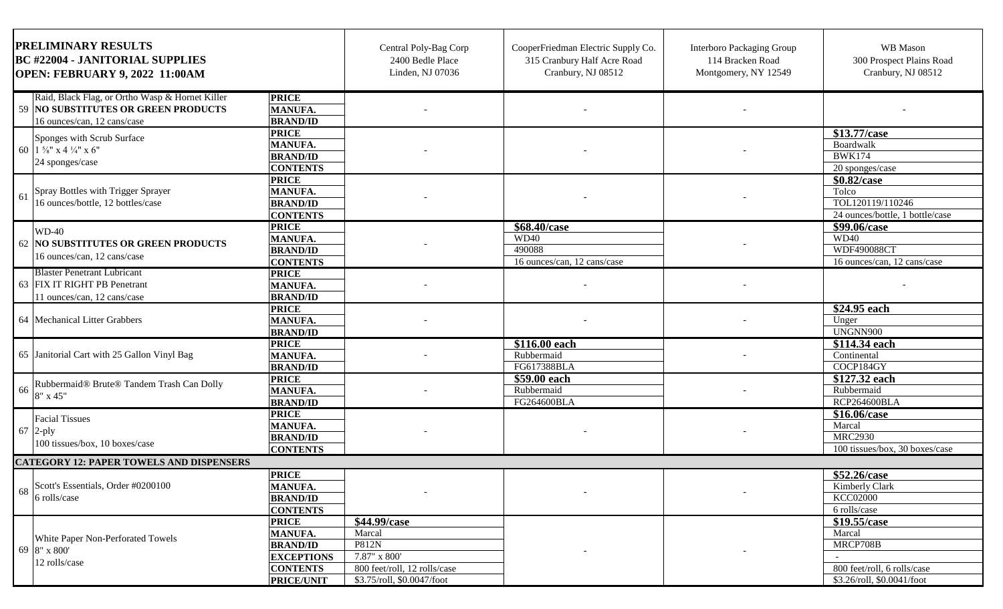| <b>PRELIMINARY RESULTS</b><br><b>BC #22004 - JANITORIAL SUPPLIES</b><br><b>OPEN: FEBRUARY 9, 2022 11:00AM</b>                         |                                                                                                | Central Poly-Bag Corp<br>2400 Bedle Place<br>Linden, NJ 07036                                                               | CooperFriedman Electric Supply Co.<br>315 Cranbury Half Acre Road<br>Cranbury, NJ 08512 | Interboro Packaging Group<br>114 Bracken Road<br>Montgomery, NY 12549 | WB Mason<br>300 Prospect Plains Road<br>Cranbury, NJ 08512                                      |
|---------------------------------------------------------------------------------------------------------------------------------------|------------------------------------------------------------------------------------------------|-----------------------------------------------------------------------------------------------------------------------------|-----------------------------------------------------------------------------------------|-----------------------------------------------------------------------|-------------------------------------------------------------------------------------------------|
| Raid, Black Flag, or Ortho Wasp & Hornet Killer<br><b>PRICE</b><br>59 NO SUBSTITUTES OR GREEN PRODUCTS<br>16 ounces/can, 12 cans/case | MANUFA.<br><b>BRAND/ID</b>                                                                     |                                                                                                                             |                                                                                         |                                                                       |                                                                                                 |
| <b>PRICE</b><br>Sponges with Scrub Surface<br>60 $1\frac{5}{8}$ " x 4 $\frac{1}{4}$ " x 6"<br>24 sponges/case                         | <b>MANUFA.</b><br><b>BRAND/ID</b><br><b>CONTENTS</b>                                           |                                                                                                                             |                                                                                         |                                                                       | \$13.77/case<br>Boardwalk<br><b>BWK174</b><br>20 sponges/case                                   |
| <b>PRICE</b><br>Spray Bottles with Trigger Sprayer<br>61<br>16 ounces/bottle, 12 bottles/case                                         | <b>MANUFA.</b><br><b>BRAND/ID</b><br><b>CONTENTS</b>                                           |                                                                                                                             |                                                                                         |                                                                       | \$0.82/case<br>Tolco<br>TOL120119/110246<br>24 ounces/bottle, 1 bottle/case                     |
| <b>PRICE</b><br>$WD-40$<br>62 NO SUBSTITUTES OR GREEN PRODUCTS<br>16 ounces/can, 12 cans/case                                         | <b>MANUFA.</b><br><b>BRAND/ID</b><br><b>CONTENTS</b>                                           |                                                                                                                             | $\sqrt{$68.40$ /case<br><b>WD40</b><br>490088<br>16 ounces/can, 12 cans/case            |                                                                       | \$99.06/case<br>WD40<br>WDF490088CT<br>16 ounces/can, 12 cans/case                              |
| <b>Blaster Penetrant Lubricant</b><br><b>PRICE</b><br>63 FIX IT RIGHT PB Penetrant<br>11 ounces/can, 12 cans/case                     | <b>MANUFA.</b><br><b>BRAND/ID</b>                                                              |                                                                                                                             |                                                                                         |                                                                       |                                                                                                 |
| <b>PRICE</b><br>64 Mechanical Litter Grabbers                                                                                         | <b>MANUFA.</b><br><b>BRAND/ID</b>                                                              |                                                                                                                             |                                                                                         |                                                                       | \$24.95 each<br>Unger<br>UNGNN900                                                               |
| <b>PRICE</b><br>65 Janitorial Cart with 25 Gallon Vinyl Bag                                                                           | <b>MANUFA.</b><br><b>BRAND/ID</b>                                                              |                                                                                                                             | \$116.00 each<br>Rubbermaid<br>FG617388BLA                                              |                                                                       | \$114.34 each<br>Continental<br>COCP184GY                                                       |
| <b>PRICE</b><br>Rubbermaid® Brute® Tandem Trash Can Dolly<br>66<br>8" x 45"                                                           | <b>MANUFA.</b><br><b>BRAND/ID</b>                                                              |                                                                                                                             | $\overline{$}59.00$ each<br>Rubbermaid<br>FG264600BLA                                   |                                                                       | \$127.32 each<br>Rubbermaid<br>RCP264600BLA                                                     |
| <b>PRICE</b><br><b>Facial Tissues</b><br>$67$ 2-ply<br>100 tissues/box, 10 boxes/case                                                 | <b>MANUFA.</b><br><b>BRAND/ID</b><br><b>CONTENTS</b>                                           |                                                                                                                             |                                                                                         |                                                                       | \$16.06/case<br>Marcal<br><b>MRC2930</b><br>100 tissues/box, 30 boxes/case                      |
| <b>CATEGORY 12: PAPER TOWELS AND DISPENSERS</b>                                                                                       |                                                                                                |                                                                                                                             |                                                                                         |                                                                       |                                                                                                 |
| <b>PRICE</b><br>Scott's Essentials, Order #0200100<br>68<br>6 rolls/case                                                              | <b>MANUFA.</b><br><b>BRAND/ID</b><br><b>CONTENTS</b>                                           |                                                                                                                             |                                                                                         |                                                                       | \$52.26/case<br>Kimberly Clark<br>KCC02000<br>6 rolls/case                                      |
| <b>PRICE</b><br>White Paper Non-Perforated Towels<br>69 8" x 800"<br>12 rolls/case                                                    | <b>MANUFA.</b><br><b>BRAND/ID</b><br><b>EXCEPTIONS</b><br><b>CONTENTS</b><br><b>PRICE/UNIT</b> | \$44.99/case<br>Marcal<br><b>P812N</b><br>$7.87" \times 800'$<br>800 feet/roll, 12 rolls/case<br>\$3.75/roll, \$0.0047/foot |                                                                                         |                                                                       | \$19.55/case<br>Marcal<br>MRCP708B<br>800 feet/roll, 6 rolls/case<br>\$3.26/roll, \$0.0041/foot |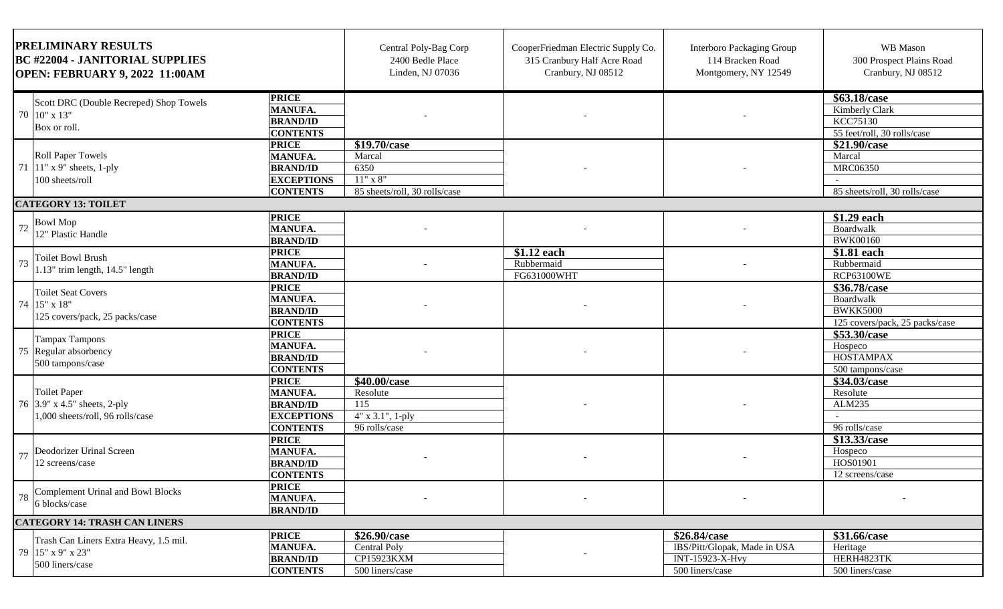| <b>PRELIMINARY RESULTS</b><br><b>BC #22004 - JANITORIAL SUPPLIES</b><br><b>OPEN: FEBRUARY 9, 2022 11:00AM</b> |                                                                                         | Central Poly-Bag Corp<br>2400 Bedle Place<br>Linden, NJ 07036                             | CooperFriedman Electric Supply Co.<br>315 Cranbury Half Acre Road<br>Cranbury, NJ 08512 | <b>Interboro Packaging Group</b><br>114 Bracken Road<br>Montgomery, NY 12549 | WB Mason<br>300 Prospect Plains Road<br>Cranbury, NJ 08512                         |                                                                                |
|---------------------------------------------------------------------------------------------------------------|-----------------------------------------------------------------------------------------|-------------------------------------------------------------------------------------------|-----------------------------------------------------------------------------------------|------------------------------------------------------------------------------|------------------------------------------------------------------------------------|--------------------------------------------------------------------------------|
|                                                                                                               | Scott DRC (Double Recreped) Shop Towels<br>70 10" x 13"<br>Box or roll.                 | <b>PRICE</b><br><b>MANUFA.</b><br><b>BRAND/ID</b><br><b>CONTENTS</b>                      |                                                                                         |                                                                              |                                                                                    | \$63.18/case<br>Kimberly Clark<br>KCC75130<br>55 feet/roll, 30 rolls/case      |
|                                                                                                               | <b>Roll Paper Towels</b><br>71   11" x 9" sheets, 1-ply<br>100 sheets/roll              | <b>PRICE</b><br><b>MANUFA.</b><br><b>BRAND/ID</b><br><b>EXCEPTIONS</b><br><b>CONTENTS</b> | \$19.70/case<br>Marcal<br>6350<br>$11" \ge 8"$<br>85 sheets/roll, 30 rolls/case         |                                                                              |                                                                                    | \$21.90/case<br>Marcal<br><b>MRC06350</b><br>85 sheets/roll, 30 rolls/case     |
|                                                                                                               | <b>CATEGORY 13: TOILET</b>                                                              |                                                                                           |                                                                                         |                                                                              |                                                                                    |                                                                                |
|                                                                                                               | <b>Bowl Mop</b><br>12" Plastic Handle                                                   | <b>PRICE</b><br><b>MANUFA.</b><br><b>BRAND/ID</b>                                         |                                                                                         |                                                                              |                                                                                    | \$1.29 each<br>Boardwalk<br><b>BWK00160</b>                                    |
| 73                                                                                                            | <b>Toilet Bowl Brush</b><br>1.13" trim length, 14.5" length                             | <b>PRICE</b><br><b>MANUFA.</b><br><b>BRAND/ID</b>                                         |                                                                                         | $$1.12$ each<br>Rubbermaid<br>FG631000WHT                                    |                                                                                    | \$1.81 each<br>Rubbermaid<br><b>RCP63100WE</b>                                 |
|                                                                                                               | <b>Toilet Seat Covers</b><br>74 15" x 18"<br>125 covers/pack, 25 packs/case             | <b>PRICE</b><br><b>MANUFA.</b><br><b>BRAND/ID</b><br><b>CONTENTS</b>                      |                                                                                         |                                                                              |                                                                                    | \$36.78/case<br>Boardwalk<br><b>BWKK5000</b><br>125 covers/pack, 25 packs/case |
|                                                                                                               | <b>Tampax Tampons</b><br>75 Regular absorbency<br>500 tampons/case                      | <b>PRICE</b><br><b>MANUFA.</b><br><b>BRAND/ID</b><br><b>CONTENTS</b>                      |                                                                                         |                                                                              |                                                                                    | \$53.30/case<br>Hospeco<br>HOSTAMPAX<br>500 tampons/case                       |
|                                                                                                               | <b>Toilet Paper</b><br>76 3.9" x 4.5" sheets, 2-ply<br>1,000 sheets/roll, 96 rolls/case | <b>PRICE</b><br><b>MANUFA.</b><br><b>BRAND/ID</b><br><b>EXCEPTIONS</b><br><b>CONTENTS</b> | \$40.00/case<br>Resolute<br>115<br>$4"$ x 3.1", 1-ply<br>96 rolls/case                  |                                                                              |                                                                                    | \$34.03/case<br>Resolute<br>ALM235<br>96 rolls/case                            |
|                                                                                                               | Deodorizer Urinal Screen<br>12 screens/case                                             | <b>PRICE</b><br><b>MANUFA.</b><br><b>BRAND/ID</b><br><b>CONTENTS</b>                      |                                                                                         |                                                                              |                                                                                    | \$13.33/case<br>Hospeco<br>HOS01901<br>12 screens/case                         |
| 78                                                                                                            | Complement Urinal and Bowl Blocks<br>6 blocks/case                                      | <b>PRICE</b><br>MANUFA.<br><b>BRAND/ID</b>                                                |                                                                                         |                                                                              |                                                                                    |                                                                                |
|                                                                                                               | <b>CATEGORY 14: TRASH CAN LINERS</b>                                                    |                                                                                           |                                                                                         |                                                                              |                                                                                    |                                                                                |
|                                                                                                               | Trash Can Liners Extra Heavy, 1.5 mil.<br>79 15" x 9" x 23"<br>500 liners/case          | <b>PRICE</b><br><b>MANUFA.</b><br><b>BRAND/ID</b><br><b>CONTENTS</b>                      | \$26.90/case<br>Central Poly<br>CP15923KXM<br>500 liners/case                           |                                                                              | \$26.84/case<br>IBS/Pitt/Glopak, Made in USA<br>INT-15923-X-Hvy<br>500 liners/case | \$31.66/case<br>Heritage<br>HERH4823TK<br>500 liners/case                      |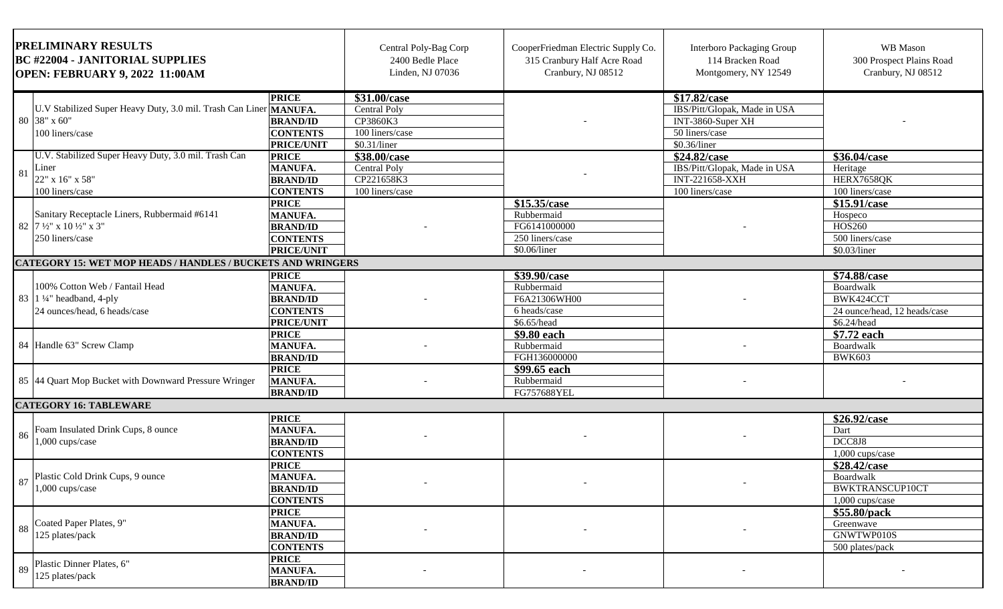| PRELIMINARY RESULTS<br><b>BC #22004 - JANITORIAL SUPPLIES</b><br>OPEN: FEBRUARY 9, 2022 11:00AM |                                                                                                             | Central Poly-Bag Corp<br>2400 Bedle Place<br>Linden, NJ 07036                             | CooperFriedman Electric Supply Co.<br>315 Cranbury Half Acre Road<br>Cranbury, NJ 08512 | <b>Interboro Packaging Group</b><br>114 Bracken Road<br>Montgomery, NY 12549  | WB Mason<br>300 Prospect Plains Road<br>Cranbury, NJ 08512                                          |                                                                                       |
|-------------------------------------------------------------------------------------------------|-------------------------------------------------------------------------------------------------------------|-------------------------------------------------------------------------------------------|-----------------------------------------------------------------------------------------|-------------------------------------------------------------------------------|-----------------------------------------------------------------------------------------------------|---------------------------------------------------------------------------------------|
|                                                                                                 | U.V Stabilized Super Heavy Duty, 3.0 mil. Trash Can Liner MANUFA.<br>80 38" x 60"<br>100 liners/case        | <b>PRICE</b><br><b>BRAND/ID</b><br><b>CONTENTS</b><br><b>PRICE/UNIT</b>                   | \$31.00/case<br>Central Poly<br>CP3860K3<br>100 liners/case<br>\$0.31/liner             |                                                                               | \$17.82/case<br>IBS/Pitt/Glopak, Made in USA<br>INT-3860-Super XH<br>50 liners/case<br>\$0.36/liner |                                                                                       |
| 81                                                                                              | U.V. Stabilized Super Heavy Duty, 3.0 mil. Trash Can<br>Liner<br>22" x 16" x 58"<br>100 liners/case         | <b>PRICE</b><br><b>MANUFA.</b><br><b>BRAND/ID</b><br><b>CONTENTS</b>                      | \$38.00/case<br><b>Central Poly</b><br>CP221658K3<br>100 liners/case                    |                                                                               | \$24.82/case<br>IBS/Pitt/Glopak, Made in USA<br><b>INT-221658-XXH</b><br>100 liners/case            | \$36.04/case<br>Heritage<br>HERX7658QK<br>100 liners/case                             |
|                                                                                                 | Sanitary Receptacle Liners, Rubbermaid #6141<br>82 7 1/2" x 10 1/2" x 3"<br>250 liners/case                 | <b>PRICE</b><br><b>MANUFA.</b><br><b>BRAND/ID</b><br><b>CONTENTS</b><br><b>PRICE/UNIT</b> |                                                                                         | \$15.35/case<br>Rubbermaid<br>FG6141000000<br>250 liners/case<br>\$0.06/liner |                                                                                                     | \$15.91/case<br>Hospeco<br>HOS260<br>500 liners/case<br>\$0.03/liner                  |
|                                                                                                 | <b>CATEGORY 15: WET MOP HEADS / HANDLES / BUCKETS AND WRINGERS</b>                                          |                                                                                           |                                                                                         |                                                                               |                                                                                                     |                                                                                       |
|                                                                                                 | 100% Cotton Web / Fantail Head<br>83 $\left 1\right ^{1/4}$ headband, 4-ply<br>24 ounces/head, 6 heads/case | <b>PRICE</b><br>MANUFA.<br><b>BRAND/ID</b><br><b>CONTENTS</b><br>PRICE/UNIT               |                                                                                         | \$39.90/case<br>Rubbermaid<br>F6A21306WH00<br>6 heads/case<br>\$6.65/head     |                                                                                                     | \$74.88/case<br>Boardwalk<br>BWK424CCT<br>24 ounce/head, 12 heads/case<br>\$6.24/head |
|                                                                                                 | 84 Handle 63" Screw Clamp                                                                                   | <b>PRICE</b><br><b>MANUFA.</b><br><b>BRAND/ID</b>                                         |                                                                                         | \$9.80 each<br>Rubbermaid<br>FGH136000000                                     |                                                                                                     | \$7.72 each<br>Boardwalk<br><b>BWK603</b>                                             |
|                                                                                                 | 85 44 Quart Mop Bucket with Downward Pressure Wringer                                                       | <b>PRICE</b><br><b>MANUFA.</b><br><b>BRAND/ID</b>                                         |                                                                                         | \$99.65 each<br>Rubbermaid<br>FG757688YEL                                     |                                                                                                     |                                                                                       |
|                                                                                                 | <b>CATEGORY 16: TABLEWARE</b>                                                                               |                                                                                           |                                                                                         |                                                                               |                                                                                                     |                                                                                       |
| -86                                                                                             | Foam Insulated Drink Cups, 8 ounce<br>1,000 cups/case                                                       | <b>PRICE</b><br><b>MANUFA.</b><br><b>BRAND/ID</b><br><b>CONTENTS</b>                      |                                                                                         |                                                                               |                                                                                                     | \$26.92/case<br>Dart<br>DCC8J8<br>1,000 cups/case                                     |
| 87                                                                                              | Plastic Cold Drink Cups, 9 ounce<br>$1,000$ cups/case                                                       | <b>PRICE</b><br><b>MANUFA.</b><br><b>BRAND/ID</b><br><b>CONTENTS</b>                      | $\sim$                                                                                  |                                                                               |                                                                                                     | \$28.42/case<br><b>Boardwalk</b><br>BWKTRANSCUP10CT<br>1,000 cups/case                |
| 88                                                                                              | Coated Paper Plates, 9"<br>125 plates/pack                                                                  | <b>PRICE</b><br><b>MANUFA.</b><br><b>BRAND/ID</b><br><b>CONTENTS</b>                      |                                                                                         |                                                                               |                                                                                                     | \$55.80/pack<br>Greenwave<br>GNWTWP010S<br>500 plates/pack                            |
| 89                                                                                              | Plastic Dinner Plates, 6"<br>125 plates/pack                                                                | <b>PRICE</b><br><b>MANUFA.</b><br><b>BRAND/ID</b>                                         |                                                                                         |                                                                               |                                                                                                     |                                                                                       |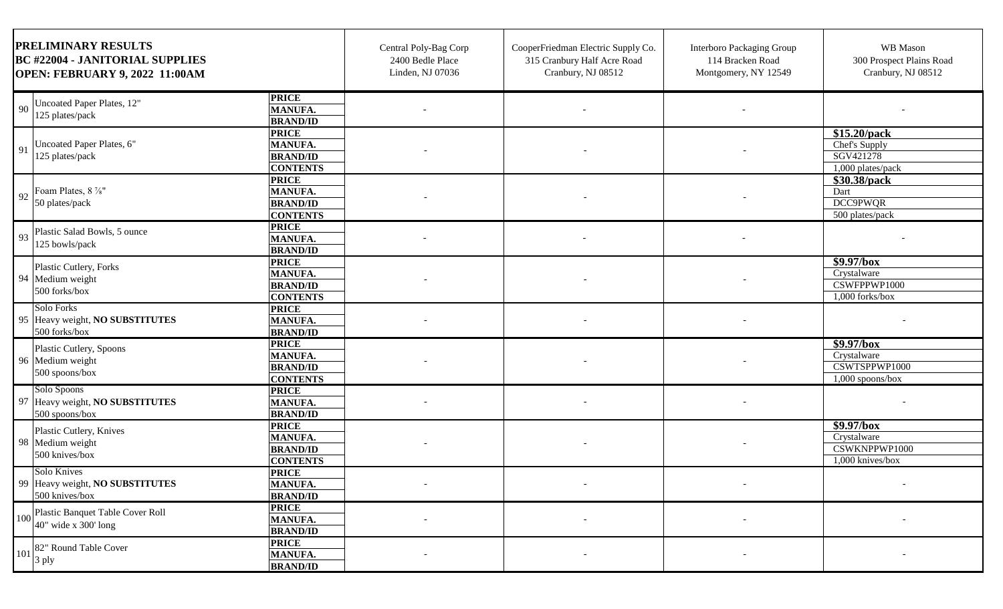| <b>PRELIMINARY RESULTS</b><br><b>BC #22004 - JANITORIAL SUPPLIES</b><br><b>OPEN: FEBRUARY 9, 2022 11:00AM</b>                         | Central Poly-Bag Corp<br>2400 Bedle Place<br>Linden, NJ 07036 | CooperFriedman Electric Supply Co.<br>315 Cranbury Half Acre Road<br>Cranbury, NJ 08512 | <b>Interboro Packaging Group</b><br>114 Bracken Road<br>Montgomery, NY 12549 | WB Mason<br>300 Prospect Plains Road<br>Cranbury, NJ 08512        |
|---------------------------------------------------------------------------------------------------------------------------------------|---------------------------------------------------------------|-----------------------------------------------------------------------------------------|------------------------------------------------------------------------------|-------------------------------------------------------------------|
| <b>PRICE</b><br>Uncoated Paper Plates, 12"<br>90<br>MANUFA.<br>125 plates/pack<br><b>BRAND/ID</b>                                     |                                                               |                                                                                         |                                                                              |                                                                   |
| <b>PRICE</b><br>Uncoated Paper Plates, 6"<br>MANUFA.<br>91<br>125 plates/pack<br><b>BRAND/ID</b><br><b>CONTENTS</b>                   |                                                               |                                                                                         |                                                                              | $$15.20$ /pack<br>Chef's Supply<br>SGV421278<br>1,000 plates/pack |
| <b>PRICE</b><br>Foam Plates, 8 %"<br><b>MANUFA.</b><br>92<br>50 plates/pack<br><b>BRAND/ID</b><br><b>CONTENTS</b>                     |                                                               |                                                                                         |                                                                              | \$30.38/pack<br>Dart<br>DCC9PWQR<br>500 plates/pack               |
| <b>PRICE</b><br>Plastic Salad Bowls, 5 ounce<br>93<br><b>MANUFA.</b><br>125 bowls/pack<br><b>BRAND/ID</b>                             |                                                               |                                                                                         |                                                                              |                                                                   |
| <b>PRICE</b><br>Plastic Cutlery, Forks<br><b>MANUFA.</b><br>94 Medium weight<br><b>BRAND/ID</b><br>500 forks/box<br><b>CONTENTS</b>   |                                                               |                                                                                         |                                                                              | \$9.97/box<br>Crystalware<br>CSWFPPWP1000<br>$1,000$ forks/box    |
| Solo Forks<br><b>PRICE</b><br>95 Heavy weight, NO SUBSTITUTES<br><b>MANUFA.</b><br>500 forks/box<br><b>BRAND/ID</b>                   |                                                               |                                                                                         |                                                                              |                                                                   |
| <b>PRICE</b><br>Plastic Cutlery, Spoons<br><b>MANUFA.</b><br>96 Medium weight<br><b>BRAND/ID</b><br>500 spoons/box<br><b>CONTENTS</b> |                                                               |                                                                                         |                                                                              | \$9.97/box<br>Crystalware<br>CSWTSPPWP1000<br>$1,000$ spoons/box  |
| Solo Spoons<br><b>PRICE</b><br>97 Heavy weight, NO SUBSTITUTES<br>MANUFA.<br><b>BRAND/ID</b><br>500 spoons/box                        |                                                               |                                                                                         |                                                                              |                                                                   |
| <b>PRICE</b><br>Plastic Cutlery, Knives<br>MANUFA.<br>98 Medium weight<br><b>BRAND/ID</b><br>500 knives/box<br><b>CONTENTS</b>        |                                                               |                                                                                         |                                                                              | \$9.97/box<br>Crystalware<br>CSWKNPPWP1000<br>1,000 knives/box    |
| Solo Knives<br><b>PRICE</b><br>99 Heavy weight, NO SUBSTITUTES<br><b>MANUFA.</b><br>500 knives/box<br><b>BRAND/ID</b>                 | $\sim$                                                        | $\overline{\phantom{a}}$                                                                |                                                                              | $\overline{\phantom{a}}$                                          |
| <b>PRICE</b><br>Plastic Banquet Table Cover Roll<br>100<br><b>MANUFA.</b><br>$40^{\circ}$ wide x 300' long<br><b>BRAND/ID</b>         |                                                               |                                                                                         |                                                                              |                                                                   |
| <b>PRICE</b><br>82" Round Table Cover<br>101<br><b>MANUFA.</b><br>3 ply<br><b>BRAND/ID</b>                                            |                                                               |                                                                                         |                                                                              |                                                                   |